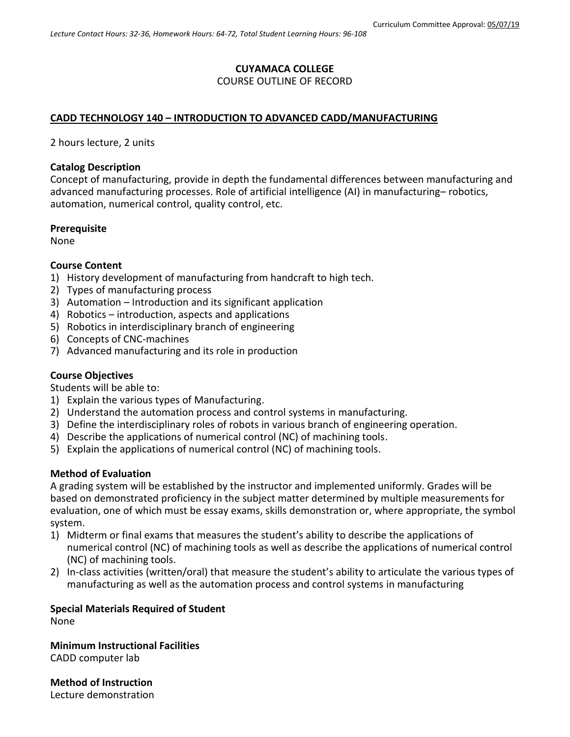# **CUYAMACA COLLEGE**

## COURSE OUTLINE OF RECORD

## **CADD TECHNOLOGY 140 – INTRODUCTION TO ADVANCED CADD/MANUFACTURING**

2 hours lecture, 2 units

#### **Catalog Description**

Concept of manufacturing, provide in depth the fundamental differences between manufacturing and advanced manufacturing processes. Role of artificial intelligence (AI) in manufacturing– robotics, automation, numerical control, quality control, etc.

#### **Prerequisite**

None

#### **Course Content**

- 1) History development of manufacturing from handcraft to high tech.
- 2) Types of manufacturing process
- 3) Automation Introduction and its significant application
- 4) Robotics introduction, aspects and applications
- 5) Robotics in interdisciplinary branch of engineering
- 6) Concepts of CNC-machines
- 7) Advanced manufacturing and its role in production

### **Course Objectives**

Students will be able to:

- 1) Explain the various types of Manufacturing.
- 2) Understand the automation process and control systems in manufacturing.
- 3) Define the interdisciplinary roles of robots in various branch of engineering operation.
- 4) Describe the applications of numerical control (NC) of machining tools.
- 5) Explain the applications of numerical control (NC) of machining tools.

### **Method of Evaluation**

A grading system will be established by the instructor and implemented uniformly. Grades will be based on demonstrated proficiency in the subject matter determined by multiple measurements for evaluation, one of which must be essay exams, skills demonstration or, where appropriate, the symbol system.

- 1) Midterm or final exams that measures the student's ability to describe the applications of numerical control (NC) of machining tools as well as describe the applications of numerical control (NC) of machining tools.
- 2) In-class activities (written/oral) that measure the student's ability to articulate the various types of manufacturing as well as the automation process and control systems in manufacturing

### **Special Materials Required of Student** None

**Minimum Instructional Facilities** CADD computer lab

**Method of Instruction** Lecture demonstration